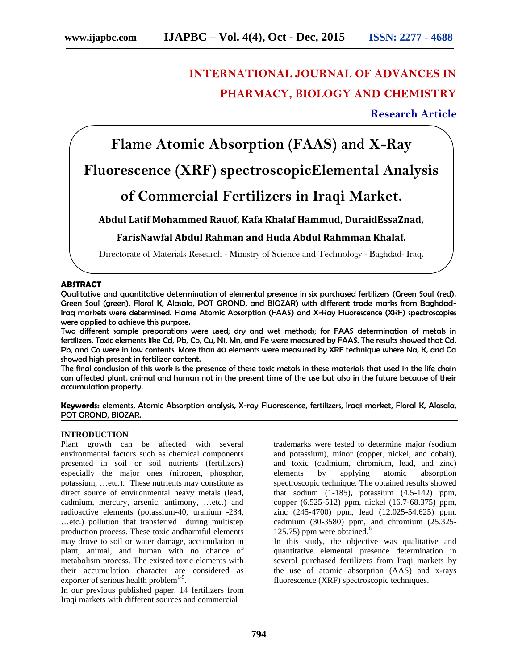# **INTERNATIONAL JOURNAL OF ADVANCES IN PHARMACY, BIOLOGY AND CHEMISTRY**

## **Research Article**

**Flame Atomic Absorption (FAAS) and X-Ray**

## **Fluorescence (XRF) spectroscopicElemental Analysis**

## **of Commercial Fertilizers in Iraqi Market.**

### **Abdul Latif Mohammed Rauof, Kafa Khalaf Hammud, DuraidEssaZnad,**

### **FarisNawfal Abdul Rahman and Huda Abdul Rahmman Khalaf.**

Directorate of Materials Research - Ministry of Science and Technology - Baghdad- Iraq.

#### **ABSTRACT**

Qualitative and quantitative determination of elemental presence in six purchased fertilizers (Green Soul (red), Green Soul (green), Floral K, Alasala, POT GROND, and BIOZAR) with different trade marks from Baghdad-Iraq markets were determined. Flame Atomic Absorption (FAAS) and X-Ray Fluorescence (XRF) spectroscopies were applied to achieve this purpose.

Two different sample preparations were used; dry and wet methods; for FAAS determination of metals in fertilizers. Toxic elements like Cd, Pb, Co, Cu, Ni, Mn, and Fe were measured by FAAS. The results showed that Cd, Pb, and Co were in low contents. More than 40 elements were measured by XRF technique where Na, K, and Ca showed high present in fertilizer content.

The final conclusion of this work is the presence of these toxic metals in these materials that used in the life chain can affected plant, animal and human not in the present time of the use but also in the future because of their accumulation property.

**Keywords:** elements, Atomic Absorption analysis, X-ray Fluorescence, fertilizers, Iraqi market, Floral K, Alasala, POT GROND, BIOZAR.

#### **INTRODUCTION**

Plant growth can be affected with several environmental factors such as chemical components presented in soil or soil nutrients (fertilizers) especially the major ones (nitrogen, phosphor, potassium, …etc.). These nutrients may constitute as direct source of environmental heavy metals (lead, cadmium, mercury, arsenic, antimony, …etc.) and radioactive elements (potassium-40, uranium -234, …etc.) pollution that transferred during multistep production process. These toxic andharmful elements may drove to soil or water damage, accumulation in plant, animal, and human with no chance of metabolism process. The existed toxic elements with their accumulation character are considered as exporter of serious health problem $1-5$ .

In our previous published paper, 14 fertilizers from Iraqi markets with different sources and commercial

trademarks were tested to determine major (sodium and potassium), minor (copper, nickel, and cobalt), and toxic (cadmium, chromium, lead, and zinc) elements by applying atomic absorption spectroscopic technique. The obtained results showed that sodium (1-185), potassium (4.5-142) ppm, copper (6.525-512) ppm, nickel (16.7-68.375) ppm, zinc (245-4700) ppm, lead (12.025-54.625) ppm, cadmium (30-3580) ppm, and chromium (25.325- 125.75) ppm were obtained.<sup>6</sup>

In this study, the objective was qualitative and quantitative elemental presence determination in several purchased fertilizers from Iraqi markets by the use of atomic absorption (AAS) and x-rays fluorescence (XRF) spectroscopic techniques.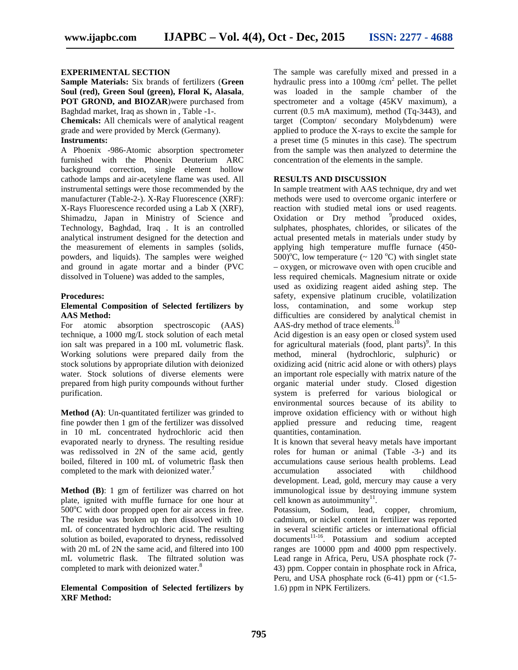#### **EXPERIMENTAL SECTION**

**Sample Materials:** Six brands of fertilizers (**Green Soul (red), Green Soul (green), Floral K, Alasala**, **POT GROND, and BIOZAR**)were purchased from Baghdad market, Iraq as shown in , Table -1-.

**Chemicals:** All chemicals were of analytical reagent grade and were provided by Merck (Germany).

#### **Instruments:**

A Phoenix -986-Atomic absorption spectrometer furnished with the Phoenix Deuterium ARC background correction, single element hollow cathode lamps and air-acetylene flame was used. All instrumental settings were those recommended by the manufacturer (Table-2-). X-Ray Fluorescence (XRF): X-Rays Fluorescence recorded using a Lab X (XRF), Shimadzu, Japan in Ministry of Science and Technology, Baghdad, Iraq . It is an controlled analytical instrument designed for the detection and the measurement of elements in samples (solids, powders, and liquids). The samples were weighed and ground in agate mortar and a binder (PVC dissolved in Toluene) was added to the samples,

#### **Procedures:**

#### **Elemental Composition of Selected fertilizers by AAS Method:**

For atomic absorption spectroscopic (AAS) technique, a 1000 mg/L stock solution of each metal ion salt was prepared in a 100 mL volumetric flask. Working solutions were prepared daily from the stock solutions by appropriate dilution with deionized water. Stock solutions of diverse elements were prepared from high purity compounds without further purification.

**Method (A)**: Un-quantitated fertilizer was grinded to fine powder then 1 gm of the fertilizer was dissolved in 10 mL concentrated hydrochloric acid then evaporated nearly to dryness. The resulting residue was redissolved in 2N of the same acid, gently boiled, filtered in 100 mL of volumetric flask then completed to the mark with deionized water.**<sup>7</sup>**

**Method (B)**: 1 gm of fertilizer was charred on hot plate, ignited with muffle furnace for one hour at  $500^{\circ}$ C with door propped open for air access in free. The residue was broken up then dissolved with 10 mL of concentrated hydrochloric acid. The resulting solution as boiled, evaporated to dryness, redissolved with 20 mL of 2N the same acid, and filtered into 100 mL volumetric flask. The filtrated solution was completed to mark with deionized water.<sup>8</sup>

#### **Elemental Composition of Selected fertilizers by XRF Method:**

The sample was carefully mixed and pressed in a hydraulic press into a  $100mg/cm^2$  pellet. The pellet was loaded in the sample chamber of the spectrometer and a voltage (45KV maximum), a current (0.5 mA maximum), method (Tq-3443), and target (Compton/ secondary Molybdenum) were applied to produce the X-rays to excite the sample for a preset time (5 minutes in this case). The spectrum from the sample was then analyzed to determine the concentration of the elements in the sample.

#### **RESULTS AND DISCUSSION**

In sample treatment with AAS technique, dry and wet methods were used to overcome organic interfere or reaction with studied metal ions or used reagents. Oxidation or Dry method <sup>9</sup>produced oxides, sulphates, phosphates, chlorides, or silicates of the actual presented metals in materials under study by applying high temperature muffle furnace (450- 500<sup>o</sup>C, low temperature ( $\sim$  120<sup>o</sup>C) with singlet state – oxygen, or microwave oven with open crucible and less required chemicals. Magnesium nitrate or oxide used as oxidizing reagent aided ashing step. The safety, expensive platinum crucible, volatilization loss, contamination, and some workup step difficulties are considered by analytical chemist in AAS-dry method of trace elements.<sup>10</sup>

Acid digestion is an easy open or closed system used for agricultural materials (food, plant parts)<sup>9</sup>. In this method, mineral (hydrochloric, sulphuric) or oxidizing acid (nitric acid alone or with others) plays an important role especially with matrix nature of the organic material under study. Closed digestion system is preferred for various biological or environmental sources because of its ability to improve oxidation efficiency with or without high applied pressure and reducing time, reagent quantities, contamination.

It is known that several heavy metals have important roles for human or animal (Table -3-) and its accumulations cause serious health problems. Lead accumulation associated with childhood development. Lead, gold, mercury may cause a very immunological issue by destroying immune system cell known as autoimmunity $11$ .

Potassium, Sodium, lead, copper, chromium, cadmium, or nickel content in fertilizer was reported in several scientific articles or international official documents<sup>11-16</sup>. Potassium and sodium accepted ranges are 10000 ppm and 4000 ppm respectively. Lead range in Africa, Peru, USA phosphate rock (7- 43) ppm. Copper contain in phosphate rock in Africa, Peru, and USA phosphate rock  $(6-41)$  ppm or  $(<1.5$ -1.6) ppm in NPK Fertilizers.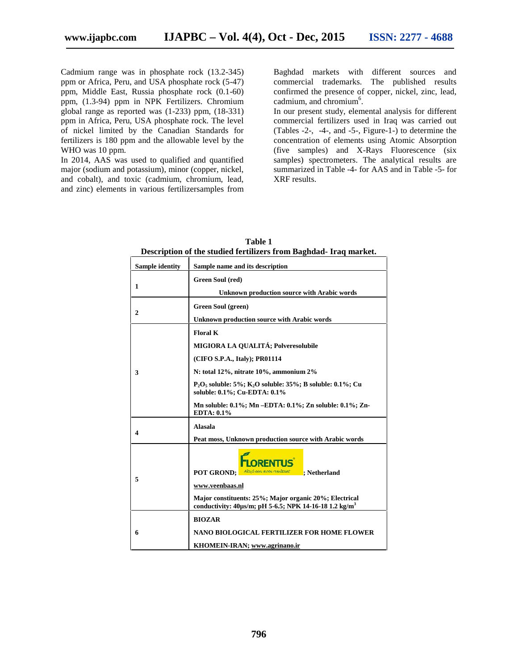Cadmium range was in phosphate rock (13.2-345) ppm or Africa, Peru, and USA phosphate rock (5-47) ppm, Middle East, Russia phosphate rock (0.1-60) ppm, (1.3-94) ppm in NPK Fertilizers. Chromium global range as reported was (1-233) ppm, (18-331) ppm in Africa, Peru, USA phosphate rock. The level of nickel limited by the Canadian Standards for fertilizers is 180 ppm and the allowable level by the WHO was 10 ppm.

In 2014, AAS was used to qualified and quantified major (sodium and potassium), minor (copper, nickel, and cobalt), and toxic (cadmium, chromium, lead, and zinc) elements in various fertilizersamples from

Baghdad markets with different sources and commercial trademarks. The published results confirmed the presence of copper, nickel, zinc, lead, cadmium, and chromium<sup>6</sup>.

In our present study, elemental analysis for different commercial fertilizers used in Iraq was carried out (Tables -2-, -4-, and -5-, Figure-1-) to determine the concentration of elements using Atomic Absorption (five samples) and X-Rays Fluorescence (six samples) spectrometers. The analytical results are summarized in Table -4- for AAS and in Table -5- for XRF results.

| Sample identity | Sample name and its description                                                                                                                                                                                                                                                                                        |  |  |  |  |
|-----------------|------------------------------------------------------------------------------------------------------------------------------------------------------------------------------------------------------------------------------------------------------------------------------------------------------------------------|--|--|--|--|
| 1               | Green Soul (red)<br><b>Unknown production source with Arabic words</b>                                                                                                                                                                                                                                                 |  |  |  |  |
| 2               | Green Soul (green)<br><b>Unknown production source with Arabic words</b>                                                                                                                                                                                                                                               |  |  |  |  |
| 3               | <b>Floral K</b><br>MIGIORA LA QUALITÁ; Polveresolubile<br>(CIFO S.P.A., Italy); PR01114<br>N: total 12%, nitrate 10%, ammonium 2%<br>$P_2O_5$ soluble: 5%; K <sub>2</sub> O soluble: 35%; B soluble: 0.1%; Cu<br>soluble: 0.1%; Cu-EDTA: 0.1%<br>Mn soluble: 0.1%; Mn -EDTA: 0.1%; Zn soluble: 0.1%; Zn-<br>EDTA: 0.1% |  |  |  |  |
| 4               | <b>Alasala</b><br>Peat moss, Unknown production source with Arabic words                                                                                                                                                                                                                                               |  |  |  |  |
| 5               | <b>RENTLIS</b><br>Altaget een mood resultzaat ; Netherland<br><b>POT GROND:</b><br>www.veenbaas.nl<br>Major constituents: 25%; Major organic 20%; Electrical<br>conductivity: $40 \mu s/m$ ; pH 5-6.5; NPK 14-16-18 1.2 kg/m <sup>3</sup>                                                                              |  |  |  |  |
| 6               | <b>BIOZAR</b><br>NANO BIOLOGICAL FERTILIZER FOR HOME FLOWER<br>KHOMEIN-IRAN; www.agrinano.ir                                                                                                                                                                                                                           |  |  |  |  |

**Table 1 Description of the studied fertilizers from Baghdad- Iraq market.**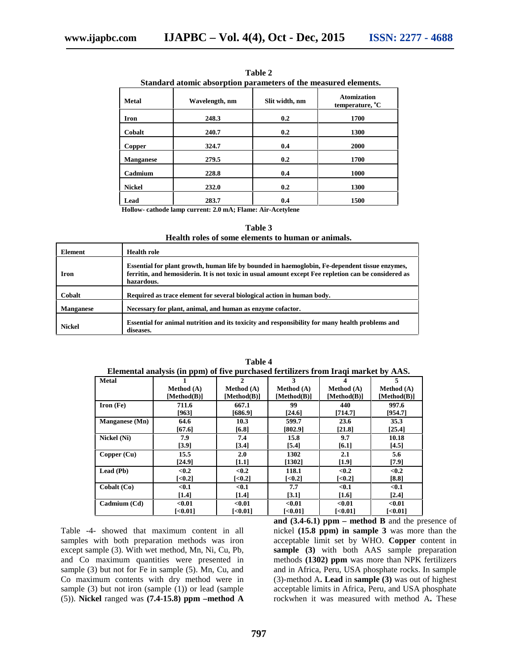|                  | Standard atomic absorption parameters of the measured elements. |                |                                                   |  |
|------------------|-----------------------------------------------------------------|----------------|---------------------------------------------------|--|
| <b>Metal</b>     | Wavelength, nm                                                  | Slit width, nm | <b>Atomization</b><br>temperature, <sup>o</sup> C |  |
| <b>Iron</b>      | 248.3                                                           | 0.2            | 1700                                              |  |
| Cobalt           | 240.7                                                           | 0.2            | 1300                                              |  |
| Copper           | 324.7                                                           | 0.4            | <b>2000</b>                                       |  |
| <b>Manganese</b> | 279.5                                                           | 0.2            | 1700                                              |  |
| Cadmium          | 228.8                                                           | 0.4            | 1000                                              |  |
| <b>Nickel</b>    | 232.0                                                           | 0.2            | 1300                                              |  |
| Lead             | 283.7                                                           | 0.4            | 1500                                              |  |

**Table 2**

**Hollow- cathode lamp current: 2.0 mA; Flame: Air-Acetylene**

**Table 3 Health roles of some elements to human or animals.**

| Element          | Health role                                                                                                                                                                                                          |
|------------------|----------------------------------------------------------------------------------------------------------------------------------------------------------------------------------------------------------------------|
| <b>Iron</b>      | Essential for plant growth, human life by bounded in haemoglobin, Fe-dependent tissue enzymes,<br>ferritin, and hemosiderin. It is not toxic in usual amount except Fee repletion can be considered as<br>hazardous. |
| Cobalt           | Required as trace element for several biological action in human body.                                                                                                                                               |
| <b>Manganese</b> | Necessary for plant, animal, and human as enzyme cofactor.                                                                                                                                                           |
| <b>Nickel</b>    | Essential for animal nutrition and its toxicity and responsibility for many health problems and<br>diseases.                                                                                                         |

| Elemental analysis (in ppm) of five purchased fertilizers from Iraqi market by AAS. |                       |                       |                        |                        |             |
|-------------------------------------------------------------------------------------|-----------------------|-----------------------|------------------------|------------------------|-------------|
| <b>Metal</b>                                                                        |                       | 2                     | 3                      |                        |             |
|                                                                                     | Method (A)            | Method (A)            | Method (A)             | Method (A)             | Method (A)  |
|                                                                                     | [Method(B)]           | [Method(B)]           | [Method(B)]            | [ $Method(B)$ ]        | [Method(B)] |
| $Iron (Fe)$                                                                         | 711.6                 | 667.1                 | 99                     | 440                    | 997.6       |
|                                                                                     | [963]                 | [686.9]               | [24.6]                 | [714.7]                | [954.7]     |
| <b>Manganese</b> (Mn)                                                               | 64.6                  | 10.3                  | 599.7                  | 23.6                   | 35.3        |
|                                                                                     | [67.6]                | [6.8]                 | [802.9]                | [21.8]                 | [25.4]      |
| Nickel (Ni)                                                                         | 7.9                   | 7.4                   | 15.8                   | 9.7                    | 10.18       |
|                                                                                     | [3.9]                 | [3.4]                 | [5.4]                  | [6.1]                  | [4.5]       |
| Copper (Cu)                                                                         | 15.5                  | 2.0                   | 1302                   | 2.1                    | 5.6         |
|                                                                                     | [24.9]                | [1.1]                 | [1302]                 | [1.9]                  | [7.9]       |
| Lead (Pb)                                                                           | < 0.2                 | < 0.2                 | 118.1                  | < 0.2                  | < 0.2       |
|                                                                                     | $\left[ <0.2 \right]$ | $\left[ <0.2 \right]$ | $\left[ <0.2 \right]$  | $\left[ <0.2 \right]$  | [8.8]       |
| $\text{Cobalt}(\text{Co})$                                                          | $0.1$                 | $0.1$                 | 7.7                    | $0.1$                  | $0.1$       |
|                                                                                     | $[1.4]$               | [1.4]                 | [3.1]                  | [1.6]                  | [2.4]       |
| Cadmium (Cd)                                                                        | < 0.01                | < 0.01                | < 0.01                 | < 0.01                 | < 0.01      |
|                                                                                     | $[<0.01]$             | [ $0.01$ ]            | $\left[ <0.01 \right]$ | $\left[ <0.01 \right]$ | [<0.01]     |

**Table 4**

Table -4- showed that maximum content in all samples with both preparation methods was iron except sample (3). With wet method, Mn, Ni, Cu, Pb, and Co maximum quantities were presented in sample (3) but not for Fe in sample (5). Mn, Cu, and Co maximum contents with dry method were in sample (3) but not iron (sample (1)) or lead (sample (5)). **Nickel** ranged was **(7.4-15.8) ppm –method A** **and (3.4-6.1) ppm – method B** and the presence of nickel **(15.8 ppm) in sample 3** was more than the acceptable limit set by WHO. **Copper** content in **sample (3)** with both AAS sample preparation methods **(1302) ppm** was more than NPK fertilizers and in Africa, Peru, USA phosphate rocks. In sample (3)-method A**. Lead** in **sample (3)** was out of highest acceptable limits in Africa, Peru, and USA phosphate rockwhen it was measured with method A**.** These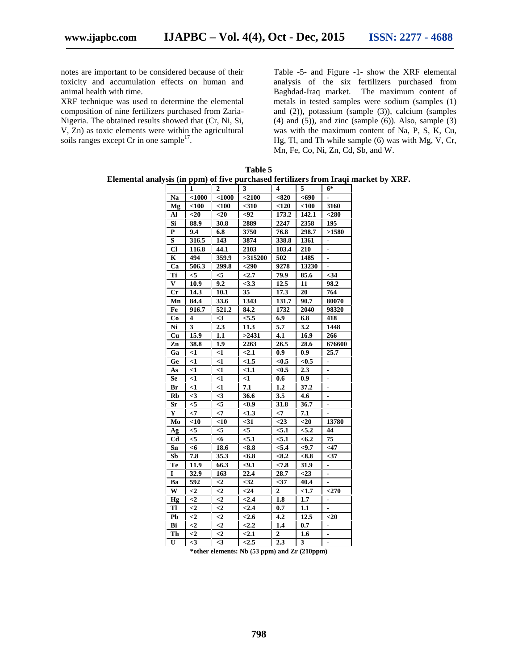notes are important to be considered because of their toxicity and accumulation effects on human and animal health with time.

XRF technique was used to determine the elemental composition of nine fertilizers purchased from Zaria- Nigeria. The obtained results showed that (Cr, Ni, Si, V, Zn) as toxic elements were within the agricultural soils ranges except Cr in one sample<sup>17</sup>.

Table -5- and Figure -1- show the XRF elemental analysis of the six fertilizers purchased from Baghdad-Iraq market. The maximum content of metals in tested samples were sodium (samples (1) and (2)), potassium (sample (3)), calcium (samples  $(4)$  and  $(5)$ ), and zinc (sample  $(6)$ ). Also, sample  $(3)$ was with the maximum content of Na, P, S, K, Cu, Hg, Tl, and Th while sample (6) was with Mg, V, Cr, Mn, Fe, Co, Ni, Zn, Cd, Sb, and W.

**Table 5 Elemental analysis (in ppm) of five purchased fertilizers from Iraqi market by XRF.**

|                |                |              | умя (пи ррпи) от пуе рагсиама тегиндегя пони падт нагко |                  |         |                              |
|----------------|----------------|--------------|---------------------------------------------------------|------------------|---------|------------------------------|
|                | 1              | $\mathbf{2}$ | 3                                                       | 4                | 5       | $6*$                         |
| Na             | $<$ 1000       | $1000$       | $<$ 2100                                                | < 820            | $690$   |                              |
| Mg             | $<$ 100        | $100$        | $310$                                                   | < 120            | $100$   | 3160                         |
| Al             | $<$ 20         | $<$ 20       | -92                                                     | 173.2            | 142.1   | $280$                        |
| Si             | 88.9           | 30.8         | 2889                                                    | 2247             | 2358    | 195                          |
| $\mathbf{P}$   | 9.4            | 6.8          | 3750                                                    | 76.8             | 298.7   | >1580                        |
| S              | 316.5          | 143          | 3874                                                    | 338.8            | 1361    | $\overline{\phantom{a}}$     |
| Cl             | 116.8          | 44.1         | 2103                                                    | 103.4            | 210     | $\overline{\phantom{a}}$     |
| $\mathbf K$    | 494            | 359.9        | >315200                                                 | 502              | 1485    |                              |
| Ca             | 506.3          | 299.8        | $290$                                                   | 9278             | 13230   |                              |
| Ti             | $\leq$         | $<$ 5        | $2.7$                                                   | 79.9             | 85.6    | $34$                         |
| V              | 10.9           | 9.2          | < 3.3                                                   | 12.5             | 11      | 98.2                         |
| $_{\rm Cr}$    | 14.3           | 10.1         | 35                                                      | 17.3             | 20      | 764                          |
| Mn             | 84.4           | 33.6         | 1343                                                    | 131.7            | 90.7    | 80070                        |
| Fe             | 916.7          | 521.2        | 84.2                                                    | 1732             | 2040    | 98320                        |
| Co             | 4              | $\leq$ 3     | < 5.5                                                   | 6.9              | 6.8     | 418                          |
| Ni             | 3              | 2.3          | 11.3                                                    | 5.7              | 3.2     | 1448                         |
| Cu             | 15.9           | 1.1          | >2431                                                   | 4.1              | 16.9    | 266                          |
| Zn             | 38.8           | 1.9          | 2263                                                    | 26.5             | 28.6    | 676600                       |
| Ga             | $<$ 1          | $\leq$ 1     | $2.1$                                                   | 0.9              | 0.9     | 25.7                         |
| Ge             | <1             | $\leq$       | < 1.5                                                   | < 0.5            | < 0.5   | $\overline{\phantom{a}}$     |
| As             | <1             | $<$ 1        | < 1.1                                                   | < 0.5            | 2.3     |                              |
| <b>Se</b>      | $\leq$ 1       | $<$ 1        | $<$ 1                                                   | 0.6              | 0.9     | $\overline{a}$               |
| Br             | $<$ 1          | $<$ 1        | 7.1                                                     | 1.2              | 37.2    | $\overline{\phantom{0}}$     |
| Rb             | $\leq$         | $\leq$ 3     | 36.6                                                    | 3.5              | 4.6     | $\overline{a}$               |
| Sr             | $<$ 5          | $<$ 5        | <0.9                                                    | 31.8             | 36.7    |                              |
| $\mathbf{Y}$   | $\leq$         | $<$ 7        | < 1.3                                                   | $\leq$           | 7.1     |                              |
| Mo             | $<$ 10         | $<$ 10       | $31$                                                    | $<$ 23           | $20$    | 13780                        |
| Ag             | < 5            | $<$ 5        | $<$ 5                                                   | < 5.1            | < 5.2   | 44                           |
| C <sub>d</sub> | $\leq$         | <6           | < 5.1                                                   | < 5.1            | < 6.2   | 75                           |
| Sn             | <6             | 18.6         | $8.8$                                                   | < 5.4            | $9.7$   | $<$ 47                       |
| Sb             | 7.8            | 35.3         | < 6.8                                                   | < 8.2            | < 8.8   | $37$                         |
| Te             | 11.9           | 66.3         | $9.1$                                                   | < 7.8            | 31.9    | -                            |
| I              | 32.9           | 163          | 22.4                                                    | 28.7             | $<$ 23  | $\blacksquare$               |
| Ba             | 592            | $<$ 2        | $32$                                                    | $37$             | 40.4    |                              |
| W              | $\leq$ 2       | $\leq$ 2     | $24$                                                    | $\overline{2}$   | <1.7    | $<$ 270                      |
| Hg             | $\leq$         | $\leq$ 2     | < 2.4                                                   | 1.8              | $1.7\,$ | $\qquad \qquad \blacksquare$ |
| Tl             | $\leq$         | $<$ 2        | < 2.4                                                   | 0.7              | 1.1     |                              |
| P <sub>b</sub> | $\leq$ 2       | $<$ 2        | < 2.6                                                   | 4.2              | 12.5    | $20$                         |
| Bi             | $\overline{c}$ | $\leq$ 2     | < 2.2                                                   | 1.4              | 0.7     | $\overline{\phantom{a}}$     |
| Th             | $\leq$         | $<$ 2        | $2.1$                                                   | $\boldsymbol{2}$ | 1.6     | $\blacksquare$               |
| U              | $\leq$ 3       | $\leq$ 3     | < 2.5                                                   | 2.3              | 3       | $\overline{\phantom{a}}$     |
|                |                |              |                                                         |                  |         |                              |

**\*other elements: Nb (53 ppm) and Zr (210ppm)**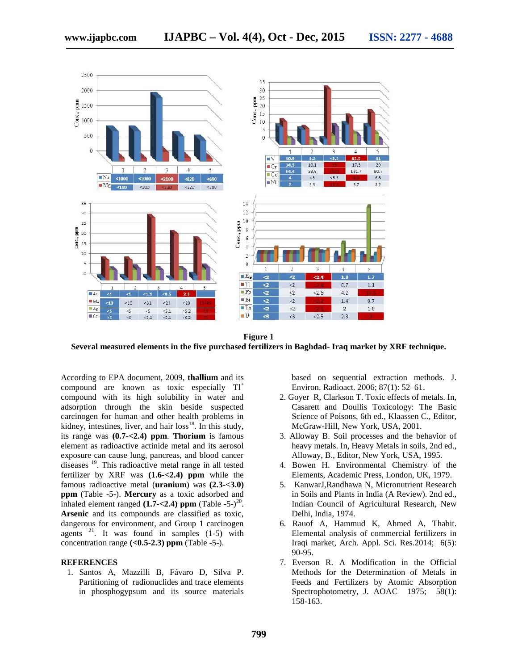

**Figure 1 Several measured elements in the five purchased fertilizers in Baghdad- Iraq market by XRF technique.**

According to EPA document, 2009, **thallium** and its compound are known as toxic especially  $TI^+$ compound with its high solubility in water and adsorption through the skin beside suspected carcinogen for human and other health problems in kidney, intestines, liver, and hair  $loss^{18}$ . In this study, its range was **(0.7-<2.4) ppm**. **Thorium** is famous element as radioactive actinide metal and its aerosol exposure can cause lung, pancreas, and blood cancer diseases <sup>19</sup>. This radioactive metal range in all tested fertilizer by XRF was **(1.6-<2.4) ppm** while the famous radioactive metal (**uranium**) was **(2.3-<3.0) ppm** (Table -5-). **Mercury** as a toxic adsorbed and inhaled element ranged  $(1.7 - 2.4)$  ppm  $(Table - 5<sup>-20</sup>)$ . **Arsenic** and its compounds are classified as toxic, dangerous for environment, and Group 1 carcinogen agents  $2^1$ . It was found in samples (1-5) with concentration range  $( $0.5-2.3$ )$  ppm (Table -5-).

#### **REFERENCES**

1. Santos A, Mazzilli B, Fávaro D, Silva P. Partitioning of radionuclides and trace elements in phosphogypsum and its source materials based on sequential extraction methods. J. Environ. Radioact. 2006; 87(1): 52–61.

- 2. Goyer R, Clarkson T. Toxic effects of metals. In, Casarett and Doullis Toxicology: The Basic Science of Poisons, 6th ed., Klaassen C., Editor, McGraw-Hill, New York, USA, 2001.
- 3. Alloway B. Soil processes and the behavior of heavy metals. In, Heavy Metals in soils, 2nd ed., Alloway, B., Editor, New York, USA, 1995.
- 4. Bowen H. Environmental Chemistry of the Elements, Academic Press, London, UK, 1979.
- 5. KanwarJ,Randhawa N, Micronutrient Research in Soils and Plants in India (A Review). 2nd ed., Indian Council of Agricultural Research, New Delhi, India, 1974.
- 6. Rauof A, Hammud K, Ahmed A, Thabit. Elemental analysis of commercial fertilizers in Iraqi market, Arch. Appl. Sci. Res.2014; 6(5): 90-95.
- 7. Everson R. A Modification in the Official Methods for the Determination of Metals in Feeds and Fertilizers by Atomic Absorption Spectrophotometry, J. AOAC 1975; 58(1): 158-163.